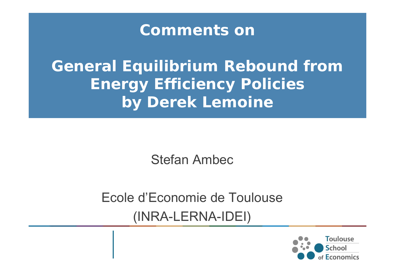## **Comments on**

*General Equilibrium Rebound from Energy Efficiency Policies* **by Derek Lemoine**

Stefan Ambec

Ecole d'Economie de Toulouse(INRA-LERNA-IDEI)

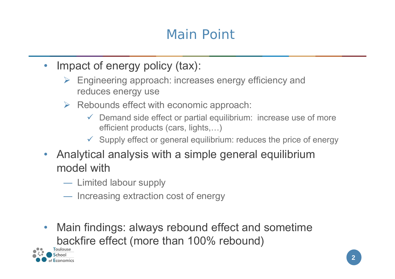## Main Point

- Impact of energy policy (tax):
	- $\triangleright$  Engineering approach: increases energy efficiency and reduces energy use
	- $\triangleright$  Rebounds effect with economic approach:
		- $\checkmark$  Demand side effect or partial equilibrium: increase use of more efficient products (cars, lights,…)
		- $\checkmark$  Supply effect or general equilibrium: reduces the price of energy
- $\bullet$  Analytical analysis with a simple general equilibrium model with
	- Limited labour supply
	- Increasing extraction cost of energy
- $\bullet$  Main findings: always rebound effect and sometime backfire effect (more than 100% rebound)

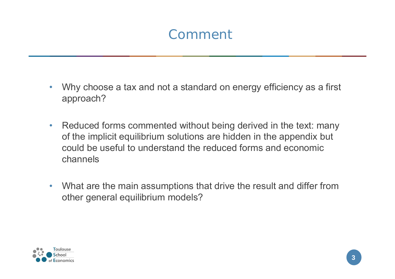## Comment

- • Why choose a tax and not a standard on energy efficiency as a first approach?
- • Reduced forms commented without being derived in the text: many of the implicit equilibrium solutions are hidden in the appendix but could be useful to understand the reduced forms and economic channels
- • What are the main assumptions that drive the result and differ from other general equilibrium models?